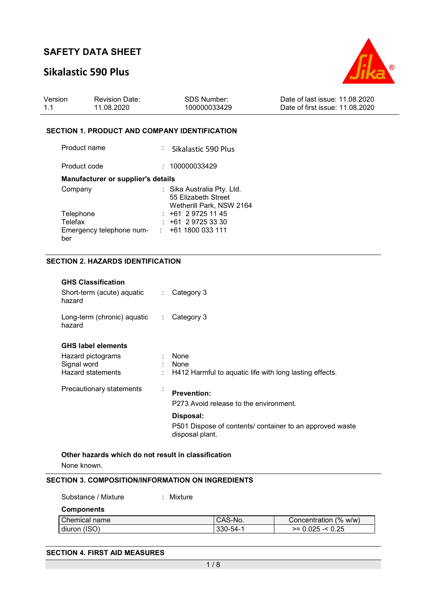## **Sikalastic 590 Plus**



| Version | <b>Revision Date:</b> | SDS Number:  | Date of last issue: 11.08.2020  |
|---------|-----------------------|--------------|---------------------------------|
| 1.1     | 11.08.2020            | 100000033429 | Date of first issue: 11.08.2020 |

#### **SECTION 1. PRODUCT AND COMPANY IDENTIFICATION**

| Product name                       | Sikalastic 590 Plus                                                           |
|------------------------------------|-------------------------------------------------------------------------------|
| Product code                       | : 100000033429                                                                |
| Manufacturer or supplier's details |                                                                               |
| Company                            | : Sika Australia Pty. Ltd.<br>55 Elizabeth Street<br>Wetherill Park, NSW 2164 |
| Telephone                          | $: +61297251145$                                                              |
| Telefax                            | $: +61297253330$                                                              |
| Emergency telephone num-<br>ber    | $\div$ +61 1800 033 111                                                       |

### **SECTION 2. HAZARDS IDENTIFICATION**

| <b>GHS Classification</b><br>Short-term (acute) aquatic<br>hazard  | $\mathbb{R}^{\mathbb{Z}}$ | Category 3                                                                  |
|--------------------------------------------------------------------|---------------------------|-----------------------------------------------------------------------------|
| Long-term (chronic) aquatic<br>hazard                              | $\mathcal{L}_{\rm{max}}$  | Category 3                                                                  |
| <b>GHS label elements</b>                                          |                           |                                                                             |
| Hazard pictograms<br>Signal word<br>Hazard statements              |                           | None<br>None<br>H412 Harmful to aquatic life with long lasting effects.     |
| Precautionary statements                                           | $\cdot$                   | <b>Prevention:</b><br>P273 Avoid release to the environment.                |
|                                                                    |                           | Disposal:                                                                   |
|                                                                    |                           | P501 Dispose of contents/ container to an approved waste<br>disposal plant. |
| Other hazards which do not result in classification<br>None known. |                           |                                                                             |

### **SECTION 3. COMPOSITION/INFORMATION ON INGREDIENTS**

| Substance / Mixture | Mixture |          |                       |
|---------------------|---------|----------|-----------------------|
| <b>Components</b>   |         |          |                       |
| Chemical name       |         | CAS-No.  | Concentration (% w/w) |
| diuron (ISO)        |         | 330-54-1 | $>= 0.025 - 0.25$     |

### **SECTION 4. FIRST AID MEASURES**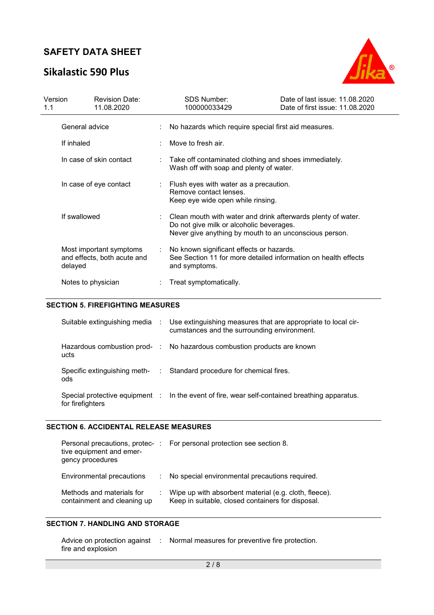## **Sikalastic 590 Plus**



| Version<br>1.1          |                    | <b>Revision Date:</b><br>11.08.2020                                                              | <b>SDS Number:</b><br>100000033429                                                                                                                                 | Date of last issue: 11.08.2020<br>Date of first issue: 11.08.2020 |  |
|-------------------------|--------------------|--------------------------------------------------------------------------------------------------|--------------------------------------------------------------------------------------------------------------------------------------------------------------------|-------------------------------------------------------------------|--|
|                         | General advice     |                                                                                                  | No hazards which require special first aid measures.                                                                                                               |                                                                   |  |
|                         | If inhaled         |                                                                                                  | Move to fresh air.                                                                                                                                                 |                                                                   |  |
| In case of skin contact |                    | Take off contaminated clothing and shoes immediately.<br>Wash off with soap and plenty of water. |                                                                                                                                                                    |                                                                   |  |
|                         |                    | In case of eye contact                                                                           | Flush eyes with water as a precaution.<br>Remove contact lenses.<br>Keep eye wide open while rinsing.                                                              |                                                                   |  |
|                         | If swallowed       |                                                                                                  | Clean mouth with water and drink afterwards plenty of water.<br>Do not give milk or alcoholic beverages.<br>Never give anything by mouth to an unconscious person. |                                                                   |  |
|                         | delayed            | Most important symptoms<br>and effects, both acute and                                           | No known significant effects or hazards.<br>See Section 11 for more detailed information on health effects<br>and symptoms.                                        |                                                                   |  |
|                         | Notes to physician |                                                                                                  | Treat symptomatically.                                                                                                                                             |                                                                   |  |

### **SECTION 5. FIREFIGHTING MEASURES**

|                  | Suitable extinguishing media : Use extinguishing measures that are appropriate to local cir-<br>cumstances and the surrounding environment. |
|------------------|---------------------------------------------------------------------------------------------------------------------------------------------|
| ucts             | Hazardous combustion prod- : No hazardous combustion products are known                                                                     |
| ods              | Specific extinguishing meth- : Standard procedure for chemical fires.                                                                       |
| for firefighters | Special protective equipment : In the event of fire, wear self-contained breathing apparatus.                                               |

#### **SECTION 6. ACCIDENTAL RELEASE MEASURES**

| tive equipment and emer-<br>gency procedures             | Personal precautions, protec-: For personal protection see section 8.                                      |
|----------------------------------------------------------|------------------------------------------------------------------------------------------------------------|
| Environmental precautions                                | : No special environmental precautions required.                                                           |
| Methods and materials for<br>containment and cleaning up | Wipe up with absorbent material (e.g. cloth, fleece).<br>Keep in suitable, closed containers for disposal. |

### **SECTION 7. HANDLING AND STORAGE**

| Advice on protection against | Normal measures for preventive fire protection. |
|------------------------------|-------------------------------------------------|
| fire and explosion           |                                                 |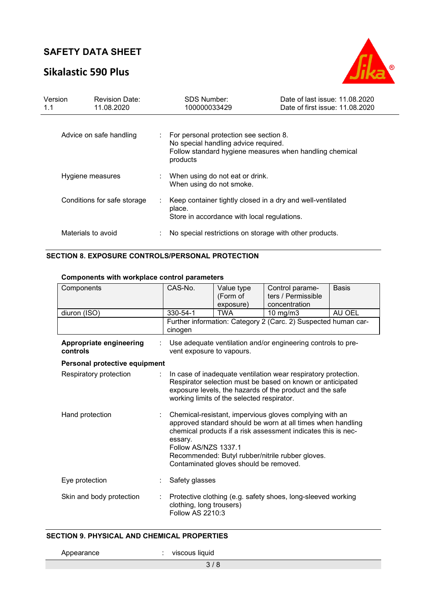## **Sikalastic 590 Plus**



| Version<br>1.1              | <b>Revision Date:</b><br>11.08.2020 | SDS Number:<br>100000033429                                                                                                                           | Date of last issue: 11.08.2020<br>Date of first issue: 11.08.2020 |
|-----------------------------|-------------------------------------|-------------------------------------------------------------------------------------------------------------------------------------------------------|-------------------------------------------------------------------|
| Advice on safe handling     |                                     | For personal protection see section 8.<br>No special handling advice required.<br>Follow standard hygiene measures when handling chemical<br>products |                                                                   |
| Hygiene measures            |                                     | When using do not eat or drink.<br>When using do not smoke.                                                                                           |                                                                   |
| Conditions for safe storage |                                     | Keep container tightly closed in a dry and well-ventilated<br>place.<br>Store in accordance with local regulations.                                   |                                                                   |
|                             | Materials to avoid                  | No special restrictions on storage with other products.                                                                                               |                                                                   |

## **SECTION 8. EXPOSURE CONTROLS/PERSONAL PROTECTION**

### **Components with workplace control parameters**

| Components                          | CAS-No.                                                                                                                                                                                                                                                                                                                  | Value type<br>(Form of<br>exposure) | Control parame-<br>ters / Permissible<br>concentration         | <b>Basis</b> |
|-------------------------------------|--------------------------------------------------------------------------------------------------------------------------------------------------------------------------------------------------------------------------------------------------------------------------------------------------------------------------|-------------------------------------|----------------------------------------------------------------|--------------|
| diuron (ISO)                        | 330-54-1                                                                                                                                                                                                                                                                                                                 | <b>TWA</b>                          | 10 mg/m $3$                                                    | AU OEL       |
|                                     | cinogen                                                                                                                                                                                                                                                                                                                  |                                     | Further information: Category 2 (Carc. 2) Suspected human car- |              |
| Appropriate engineering<br>controls | Use adequate ventilation and/or engineering controls to pre-<br>vent exposure to vapours.                                                                                                                                                                                                                                |                                     |                                                                |              |
| Personal protective equipment       |                                                                                                                                                                                                                                                                                                                          |                                     |                                                                |              |
| Respiratory protection              | In case of inadequate ventilation wear respiratory protection.<br>Respirator selection must be based on known or anticipated<br>exposure levels, the hazards of the product and the safe<br>working limits of the selected respirator.                                                                                   |                                     |                                                                |              |
| Hand protection                     | Chemical-resistant, impervious gloves complying with an<br>approved standard should be worn at all times when handling<br>chemical products if a risk assessment indicates this is nec-<br>essary.<br>Follow AS/NZS 1337.1<br>Recommended: Butyl rubber/nitrile rubber gloves.<br>Contaminated gloves should be removed. |                                     |                                                                |              |
| Eye protection                      | Safety glasses                                                                                                                                                                                                                                                                                                           |                                     |                                                                |              |
| Skin and body protection            | clothing, long trousers)<br>Follow AS 2210:3                                                                                                                                                                                                                                                                             |                                     | Protective clothing (e.g. safety shoes, long-sleeved working   |              |

### **SECTION 9. PHYSICAL AND CHEMICAL PROPERTIES**

Appearance : viscous liquid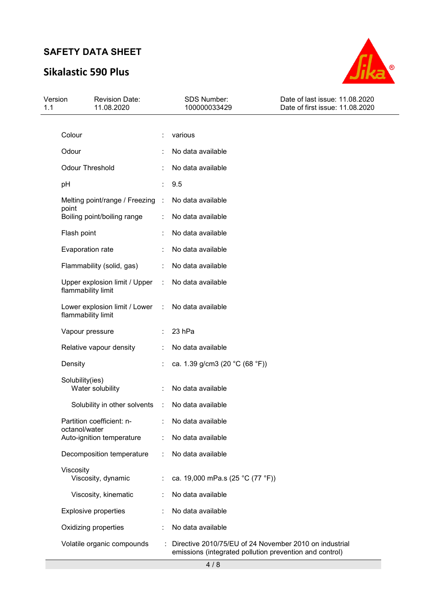# **Sikalastic 590 Plus**



| Version<br>1.1 | <b>Revision Date:</b><br>11.08.2020                 |    | SDS Number:<br>100000033429                                                                                       | Date of last issue: 11.08.2020<br>Date of first issue: 11.08.2020 |
|----------------|-----------------------------------------------------|----|-------------------------------------------------------------------------------------------------------------------|-------------------------------------------------------------------|
|                |                                                     |    |                                                                                                                   |                                                                   |
|                | Colour                                              |    | various                                                                                                           |                                                                   |
|                | Odour                                               |    | No data available                                                                                                 |                                                                   |
|                | <b>Odour Threshold</b>                              |    | No data available                                                                                                 |                                                                   |
| pH             |                                                     |    | 9.5                                                                                                               |                                                                   |
|                | Melting point/range / Freezing :<br>point           |    | No data available                                                                                                 |                                                                   |
|                | Boiling point/boiling range                         |    | No data available                                                                                                 |                                                                   |
|                | Flash point                                         |    | No data available                                                                                                 |                                                                   |
|                | Evaporation rate                                    |    | No data available                                                                                                 |                                                                   |
|                | Flammability (solid, gas)                           |    | No data available                                                                                                 |                                                                   |
|                | Upper explosion limit / Upper<br>flammability limit | ÷. | No data available                                                                                                 |                                                                   |
|                | Lower explosion limit / Lower<br>flammability limit | ÷  | No data available                                                                                                 |                                                                   |
|                | Vapour pressure                                     |    | 23 hPa                                                                                                            |                                                                   |
|                | Relative vapour density                             |    | No data available                                                                                                 |                                                                   |
|                | Density                                             |    | ca. 1.39 g/cm3 (20 °C (68 °F))                                                                                    |                                                                   |
|                | Solubility(ies)<br>Water solubility                 |    | No data available                                                                                                 |                                                                   |
|                | Solubility in other solvents                        | ÷  | No data available                                                                                                 |                                                                   |
|                | Partition coefficient: n-                           |    | No data available                                                                                                 |                                                                   |
|                | octanol/water<br>Auto-ignition temperature          |    | No data available                                                                                                 |                                                                   |
|                | Decomposition temperature                           |    | No data available                                                                                                 |                                                                   |
|                | Viscosity<br>Viscosity, dynamic                     | ÷  | ca. 19,000 mPa.s (25 °C (77 °F))                                                                                  |                                                                   |
|                | Viscosity, kinematic                                |    | No data available                                                                                                 |                                                                   |
|                | <b>Explosive properties</b>                         |    | No data available                                                                                                 |                                                                   |
|                | Oxidizing properties                                |    | No data available                                                                                                 |                                                                   |
|                | Volatile organic compounds                          |    | Directive 2010/75/EU of 24 November 2010 on industrial<br>emissions (integrated pollution prevention and control) |                                                                   |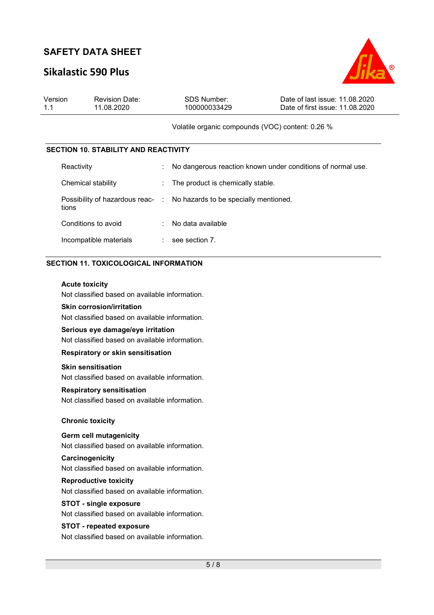## **Sikalastic 590 Plus**



| Version | <b>Revision Date:</b> | SDS Number:  | Date of last issue: 11.08.2020  |
|---------|-----------------------|--------------|---------------------------------|
| 1.1     | 11.08.2020            | 100000033429 | Date of first issue: 11.08.2020 |
|         |                       |              |                                 |

#### Volatile organic compounds (VOC) content: 0.26 %

#### **SECTION 10. STABILITY AND REACTIVITY**

| Reactivity             |   | No dangerous reaction known under conditions of normal use.            |
|------------------------|---|------------------------------------------------------------------------|
| Chemical stability     |   | : The product is chemically stable.                                    |
| tions                  |   | Possibility of hazardous reac- : No hazards to be specially mentioned. |
| Conditions to avoid    | ÷ | No data available                                                      |
| Incompatible materials |   | see section 7.                                                         |

### **SECTION 11. TOXICOLOGICAL INFORMATION**

#### **Acute toxicity**

Not classified based on available information.

### **Skin corrosion/irritation**

Not classified based on available information.

#### **Serious eye damage/eye irritation**

Not classified based on available information.

#### **Respiratory or skin sensitisation**

#### **Skin sensitisation**

Not classified based on available information.

### **Respiratory sensitisation**

Not classified based on available information.

#### **Chronic toxicity**

#### **Germ cell mutagenicity**

Not classified based on available information.

#### **Carcinogenicity**

Not classified based on available information.

#### **Reproductive toxicity**

Not classified based on available information.

#### **STOT - single exposure**

Not classified based on available information.

### **STOT - repeated exposure**

Not classified based on available information.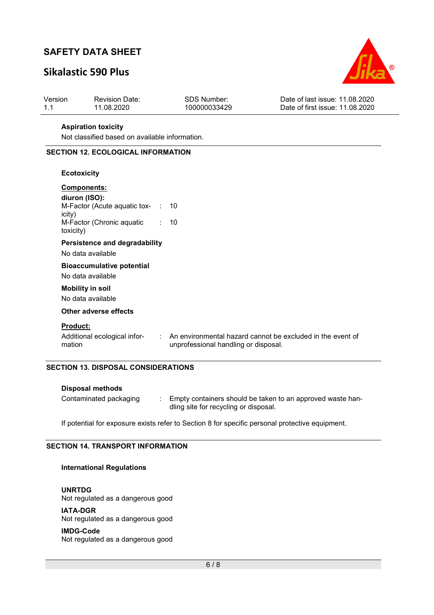# **Sikalastic 590 Plus**



| Version | <b>Revision Date:</b> | SDS Number:  | Date of last issue: 11.08.2020  |
|---------|-----------------------|--------------|---------------------------------|
| $-1.1$  | 11.08.2020            | 100000033429 | Date of first issue: 11.08.2020 |
|         |                       |              |                                 |

### **Aspiration toxicity**

Not classified based on available information.

### **SECTION 12. ECOLOGICAL INFORMATION**

#### **Ecotoxicity**

| <b>Components:</b><br>diuron (ISO):<br>M-Factor (Acute aquatic tox- $\;$ : 10<br>icity)<br>M-Factor (Chronic aquatic<br>toxicity) | : 10                                                                                                 |
|-----------------------------------------------------------------------------------------------------------------------------------|------------------------------------------------------------------------------------------------------|
| Persistence and degradability<br>No data available                                                                                |                                                                                                      |
| <b>Bioaccumulative potential</b><br>No data available<br><b>Mobility in soil</b><br>No data available                             |                                                                                                      |
| Other adverse effects                                                                                                             |                                                                                                      |
| <b>Product:</b><br>Additional ecological infor-<br>mation                                                                         | : An environmental hazard cannot be excluded in the event of<br>unprofessional handling or disposal. |

### **SECTION 13. DISPOSAL CONSIDERATIONS**

| Disposal methods       |                                                                                                     |
|------------------------|-----------------------------------------------------------------------------------------------------|
| Contaminated packaging | Empty containers should be taken to an approved waste han-<br>dling site for recycling or disposal. |

If potential for exposure exists refer to Section 8 for specific personal protective equipment.

### **SECTION 14. TRANSPORT INFORMATION**

### **International Regulations**

**UNRTDG** Not regulated as a dangerous good

**IATA-DGR** Not regulated as a dangerous good

**IMDG-Code** Not regulated as a dangerous good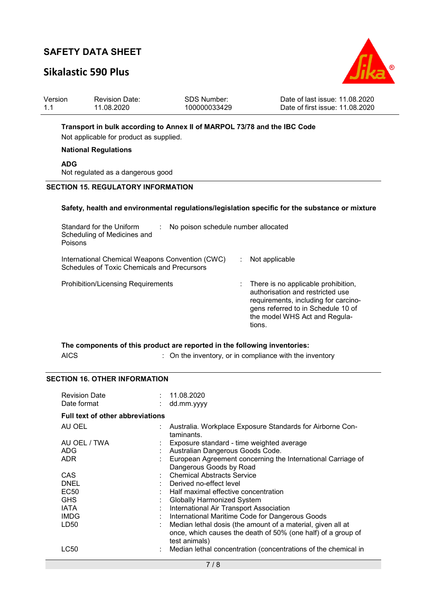## **Sikalastic 590 Plus**



| Version | <b>Revision Date:</b> | SDS Number:  | Date of last issue: 11.08.2020  |
|---------|-----------------------|--------------|---------------------------------|
| 1.1     | 11.08.2020            | 100000033429 | Date of first issue: 11.08.2020 |

#### **Transport in bulk according to Annex II of MARPOL 73/78 and the IBC Code**

Not applicable for product as supplied.

#### **National Regulations**

**ADG**

Not regulated as a dangerous good

#### **SECTION 15. REGULATORY INFORMATION**

#### **Safety, health and environmental regulations/legislation specific for the substance or mixture**

| Standard for the Uniform<br>Scheduling of Medicines and<br>Poisons                                    | No poison schedule number allocated |                                                                                                                                                                                                  |
|-------------------------------------------------------------------------------------------------------|-------------------------------------|--------------------------------------------------------------------------------------------------------------------------------------------------------------------------------------------------|
| International Chemical Weapons Convention (CWC)<br><b>Schedules of Toxic Chemicals and Precursors</b> |                                     | Not applicable                                                                                                                                                                                   |
| <b>Prohibition/Licensing Requirements</b>                                                             |                                     | There is no applicable prohibition,<br>authorisation and restricted use<br>requirements, including for carcino-<br>gens referred to in Schedule 10 of<br>the model WHS Act and Regula-<br>tions. |

### **The components of this product are reported in the following inventories:**  AICS **Subset AICS** : On the inventory, or in compliance with the inventory

#### **SECTION 16. OTHER INFORMATION**

| <b>Revision Date</b><br>Date format     | : 11.08.2020<br>dd.mm.yyyy                                                    |
|-----------------------------------------|-------------------------------------------------------------------------------|
| <b>Full text of other abbreviations</b> |                                                                               |
| AU OEL                                  | : Australia. Workplace Exposure Standards for Airborne Con-<br>taminants.     |
| AU OEL / TWA                            | Exposure standard - time weighted average                                     |
| ADG                                     | Australian Dangerous Goods Code.                                              |
| <b>ADR</b>                              | European Agreement concerning the International Carriage of                   |
|                                         | Dangerous Goods by Road                                                       |
| CAS                                     | <b>Chemical Abstracts Service</b>                                             |
| <b>DNEL</b>                             | Derived no-effect level                                                       |
| <b>EC50</b>                             | Half maximal effective concentration                                          |
| <b>GHS</b>                              | Globally Harmonized System                                                    |
| <b>IATA</b>                             | International Air Transport Association                                       |
| <b>IMDG</b>                             | International Maritime Code for Dangerous Goods                               |
| LD50                                    | Median lethal dosis (the amount of a material, given all at                   |
|                                         | once, which causes the death of 50% (one half) of a group of<br>test animals) |
| LC50                                    | Median lethal concentration (concentrations of the chemical in                |